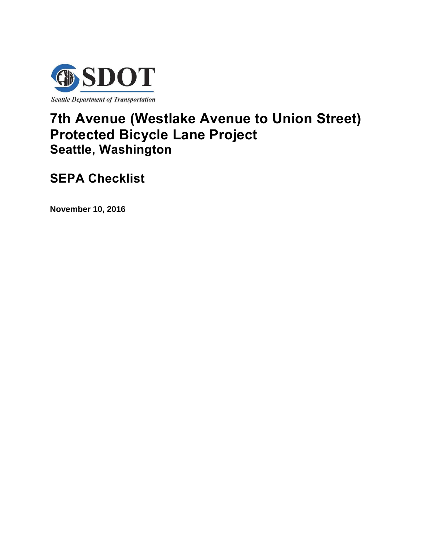

# **7th Avenue (Westlake Avenue to Union Street) Protected Bicycle Lane Project Seattle, Washington**

**SEPA Checklist** 

**November 10, 2016**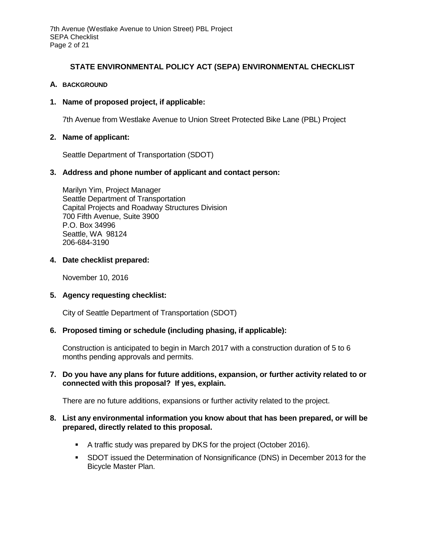# **STATE ENVIRONMENTAL POLICY ACT (SEPA) ENVIRONMENTAL CHECKLIST**

# **A. BACKGROUND**

# **1. Name of proposed project, if applicable:**

7th Avenue from Westlake Avenue to Union Street Protected Bike Lane (PBL) Project

## **2. Name of applicant:**

Seattle Department of Transportation (SDOT)

## **3. Address and phone number of applicant and contact person:**

Marilyn Yim, Project Manager Seattle Department of Transportation Capital Projects and Roadway Structures Division 700 Fifth Avenue, Suite 3900 P.O. Box 34996 Seattle, WA 98124 206-684-3190

## **4. Date checklist prepared:**

November 10, 2016

#### **5. Agency requesting checklist:**

City of Seattle Department of Transportation (SDOT)

# **6. Proposed timing or schedule (including phasing, if applicable):**

Construction is anticipated to begin in March 2017 with a construction duration of 5 to 6 months pending approvals and permits.

# **7. Do you have any plans for future additions, expansion, or further activity related to or connected with this proposal? If yes, explain.**

There are no future additions, expansions or further activity related to the project.

## **8. List any environmental information you know about that has been prepared, or will be prepared, directly related to this proposal.**

- A traffic study was prepared by DKS for the project (October 2016).
- SDOT issued the Determination of Nonsignificance (DNS) in December 2013 for the Bicycle Master Plan.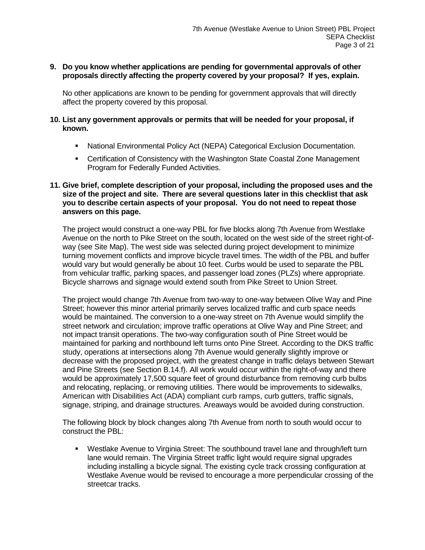# **9. Do you know whether applications are pending for governmental approvals of other proposals directly affecting the property covered by your proposal? If yes, explain.**

No other applications are known to be pending for government approvals that will directly affect the property covered by this proposal.

# **10. List any government approvals or permits that will be needed for your proposal, if known.**

- National Environmental Policy Act (NEPA) Categorical Exclusion Documentation.
- Certification of Consistency with the Washington State Coastal Zone Management Program for Federally Funded Activities.

## **11. Give brief, complete description of your proposal, including the proposed uses and the size of the project and site. There are several questions later in this checklist that ask you to describe certain aspects of your proposal. You do not need to repeat those answers on this page.**

The project would construct a one-way PBL for five blocks along 7th Avenue from Westlake Avenue on the north to Pike Street on the south, located on the west side of the street right-ofway (see Site Map). The west side was selected during project development to minimize turning movement conflicts and improve bicycle travel times. The width of the PBL and buffer would vary but would generally be about 10 feet. Curbs would be used to separate the PBL from vehicular traffic, parking spaces, and passenger load zones (PLZs) where appropriate. Bicycle sharrows and signage would extend south from Pike Street to Union Street.

The project would change 7th Avenue from two-way to one-way between Olive Way and Pine Street; however this minor arterial primarily serves localized traffic and curb space needs would be maintained. The conversion to a one-way street on 7th Avenue would simplify the street network and circulation; improve traffic operations at Olive Way and Pine Street; and not impact transit operations. The two-way configuration south of Pine Street would be maintained for parking and northbound left turns onto Pine Street. According to the DKS traffic study, operations at intersections along 7th Avenue would generally slightly improve or decrease with the proposed project, with the greatest change in traffic delays between Stewart and Pine Streets (see Section B.14.f). All work would occur within the right-of-way and there would be approximately 17,500 square feet of ground disturbance from removing curb bulbs and relocating, replacing, or removing utilities. There would be improvements to sidewalks, American with Disabilities Act (ADA) compliant curb ramps, curb gutters, traffic signals, signage, striping, and drainage structures. Areaways would be avoided during construction.

The following block by block changes along 7th Avenue from north to south would occur to construct the PBL:

 Westlake Avenue to Virginia Street: The southbound travel lane and through/left turn lane would remain. The Virginia Street traffic light would require signal upgrades including installing a bicycle signal. The existing cycle track crossing configuration at Westlake Avenue would be revised to encourage a more perpendicular crossing of the streetcar tracks.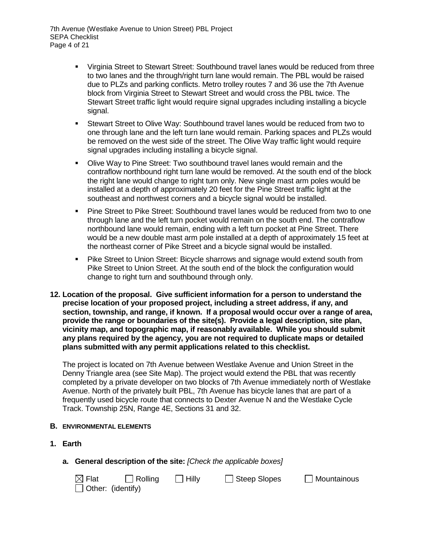- Virginia Street to Stewart Street: Southbound travel lanes would be reduced from three to two lanes and the through/right turn lane would remain. The PBL would be raised due to PLZs and parking conflicts. Metro trolley routes 7 and 36 use the 7th Avenue block from Virginia Street to Stewart Street and would cross the PBL twice. The Stewart Street traffic light would require signal upgrades including installing a bicycle signal.
- Stewart Street to Olive Way: Southbound travel lanes would be reduced from two to one through lane and the left turn lane would remain. Parking spaces and PLZs would be removed on the west side of the street. The Olive Way traffic light would require signal upgrades including installing a bicycle signal.
- Olive Way to Pine Street: Two southbound travel lanes would remain and the contraflow northbound right turn lane would be removed. At the south end of the block the right lane would change to right turn only. New single mast arm poles would be installed at a depth of approximately 20 feet for the Pine Street traffic light at the southeast and northwest corners and a bicycle signal would be installed.
- Pine Street to Pike Street: Southbound travel lanes would be reduced from two to one through lane and the left turn pocket would remain on the south end. The contraflow northbound lane would remain, ending with a left turn pocket at Pine Street. There would be a new double mast arm pole installed at a depth of approximately 15 feet at the northeast corner of Pike Street and a bicycle signal would be installed.
- Pike Street to Union Street: Bicycle sharrows and signage would extend south from Pike Street to Union Street. At the south end of the block the configuration would change to right turn and southbound through only.
- **12. Location of the proposal. Give sufficient information for a person to understand the precise location of your proposed project, including a street address, if any, and section, township, and range, if known. If a proposal would occur over a range of area, provide the range or boundaries of the site(s). Provide a legal description, site plan, vicinity map, and topographic map, if reasonably available. While you should submit any plans required by the agency, you are not required to duplicate maps or detailed plans submitted with any permit applications related to this checklist.**

The project is located on 7th Avenue between Westlake Avenue and Union Street in the Denny Triangle area (see Site Map). The project would extend the PBL that was recently completed by a private developer on two blocks of 7th Avenue immediately north of Westlake Avenue. North of the privately built PBL, 7th Avenue has bicycle lanes that are part of a frequently used bicycle route that connects to Dexter Avenue N and the Westlake Cycle Track. Township 25N, Range 4E, Sections 31 and 32.

# **B. ENVIRONMENTAL ELEMENTS**

- **1. Earth**
	- **a. General description of the site:** *[Check the applicable boxes]*

| $\boxtimes$ Flat         | $\Box$ Rolling | $\Box$ Hilly | $\Box$ Steep Slopes | $\Box$ Mountainous |
|--------------------------|----------------|--------------|---------------------|--------------------|
| $\Box$ Other: (identify) |                |              |                     |                    |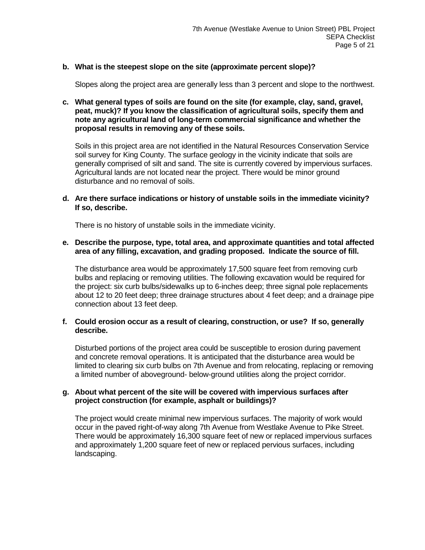# **b. What is the steepest slope on the site (approximate percent slope)?**

Slopes along the project area are generally less than 3 percent and slope to the northwest.

**c. What general types of soils are found on the site (for example, clay, sand, gravel, peat, muck)? If you know the classification of agricultural soils, specify them and note any agricultural land of long-term commercial significance and whether the proposal results in removing any of these soils.**

Soils in this project area are not identified in the Natural Resources Conservation Service soil survey for King County. The surface geology in the vicinity indicate that soils are generally comprised of silt and sand. The site is currently covered by impervious surfaces. Agricultural lands are not located near the project. There would be minor ground disturbance and no removal of soils.

#### **d. Are there surface indications or history of unstable soils in the immediate vicinity? If so, describe.**

There is no history of unstable soils in the immediate vicinity.

#### **e. Describe the purpose, type, total area, and approximate quantities and total affected area of any filling, excavation, and grading proposed. Indicate the source of fill.**

The disturbance area would be approximately 17,500 square feet from removing curb bulbs and replacing or removing utilities. The following excavation would be required for the project: six curb bulbs/sidewalks up to 6-inches deep; three signal pole replacements about 12 to 20 feet deep; three drainage structures about 4 feet deep; and a drainage pipe connection about 13 feet deep.

#### **f. Could erosion occur as a result of clearing, construction, or use? If so, generally describe.**

Disturbed portions of the project area could be susceptible to erosion during pavement and concrete removal operations. It is anticipated that the disturbance area would be limited to clearing six curb bulbs on 7th Avenue and from relocating, replacing or removing a limited number of aboveground- below-ground utilities along the project corridor.

## **g. About what percent of the site will be covered with impervious surfaces after project construction (for example, asphalt or buildings)?**

The project would create minimal new impervious surfaces. The majority of work would occur in the paved right-of-way along 7th Avenue from Westlake Avenue to Pike Street. There would be approximately 16,300 square feet of new or replaced impervious surfaces and approximately 1,200 square feet of new or replaced pervious surfaces, including landscaping.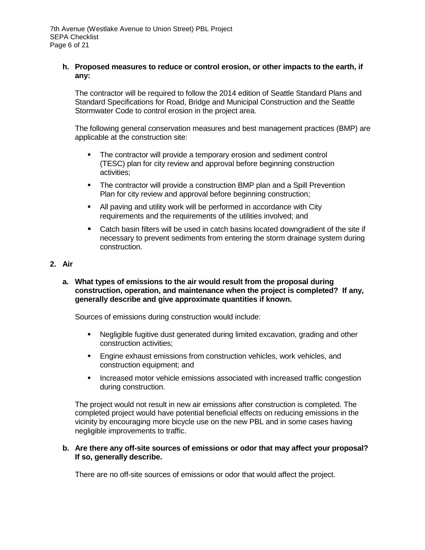# **h. Proposed measures to reduce or control erosion, or other impacts to the earth, if any:**

The contractor will be required to follow the 2014 edition of Seattle Standard Plans and Standard Specifications for Road, Bridge and Municipal Construction and the Seattle Stormwater Code to control erosion in the project area.

The following general conservation measures and best management practices (BMP) are applicable at the construction site:

- The contractor will provide a temporary erosion and sediment control (TESC) plan for city review and approval before beginning construction activities;
- The contractor will provide a construction BMP plan and a Spill Prevention Plan for city review and approval before beginning construction;
- All paving and utility work will be performed in accordance with City requirements and the requirements of the utilities involved; and
- Catch basin filters will be used in catch basins located downgradient of the site if necessary to prevent sediments from entering the storm drainage system during construction.

# **2. Air**

**a. What types of emissions to the air would result from the proposal during construction, operation, and maintenance when the project is completed? If any, generally describe and give approximate quantities if known.** 

Sources of emissions during construction would include:

- Negligible fugitive dust generated during limited excavation, grading and other construction activities;
- **Engine exhaust emissions from construction vehicles, work vehicles, and** construction equipment; and
- **Increased motor vehicle emissions associated with increased traffic congestion** during construction.

The project would not result in new air emissions after construction is completed. The completed project would have potential beneficial effects on reducing emissions in the vicinity by encouraging more bicycle use on the new PBL and in some cases having negligible improvements to traffic.

## **b. Are there any off-site sources of emissions or odor that may affect your proposal? If so, generally describe.**

There are no off-site sources of emissions or odor that would affect the project.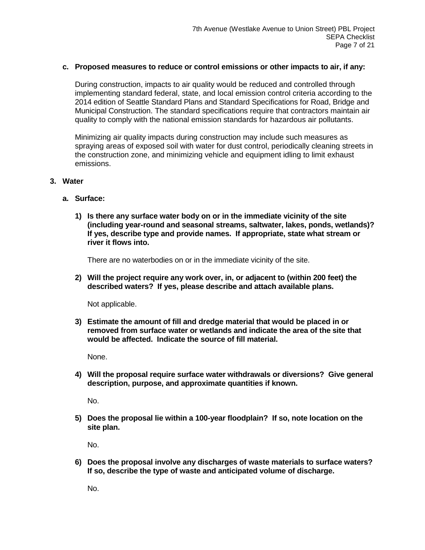#### **c. Proposed measures to reduce or control emissions or other impacts to air, if any:**

During construction, impacts to air quality would be reduced and controlled through implementing standard federal, state, and local emission control criteria according to the 2014 edition of Seattle Standard Plans and Standard Specifications for Road, Bridge and Municipal Construction. The standard specifications require that contractors maintain air quality to comply with the national emission standards for hazardous air pollutants.

Minimizing air quality impacts during construction may include such measures as spraying areas of exposed soil with water for dust control, periodically cleaning streets in the construction zone, and minimizing vehicle and equipment idling to limit exhaust emissions.

#### **3. Water**

- **a. Surface:**
	- **1) Is there any surface water body on or in the immediate vicinity of the site (including year-round and seasonal streams, saltwater, lakes, ponds, wetlands)? If yes, describe type and provide names. If appropriate, state what stream or river it flows into.**

There are no waterbodies on or in the immediate vicinity of the site.

**2) Will the project require any work over, in, or adjacent to (within 200 feet) the described waters? If yes, please describe and attach available plans.**

Not applicable.

**3) Estimate the amount of fill and dredge material that would be placed in or removed from surface water or wetlands and indicate the area of the site that would be affected. Indicate the source of fill material.**

None.

**4) Will the proposal require surface water withdrawals or diversions? Give general description, purpose, and approximate quantities if known.**

No.

**5) Does the proposal lie within a 100-year floodplain? If so, note location on the site plan.**

No.

**6) Does the proposal involve any discharges of waste materials to surface waters? If so, describe the type of waste and anticipated volume of discharge.**

No.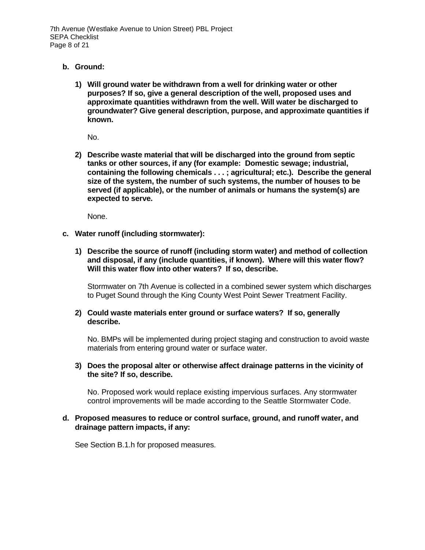7th Avenue (Westlake Avenue to Union Street) PBL Project SEPA Checklist Page 8 of 21

#### **b. Ground:**

**1) Will ground water be withdrawn from a well for drinking water or other purposes? If so, give a general description of the well, proposed uses and approximate quantities withdrawn from the well. Will water be discharged to groundwater? Give general description, purpose, and approximate quantities if known.**

No.

**2) Describe waste material that will be discharged into the ground from septic tanks or other sources, if any (for example: Domestic sewage; industrial, containing the following chemicals . . . ; agricultural; etc.). Describe the general size of the system, the number of such systems, the number of houses to be served (if applicable), or the number of animals or humans the system(s) are expected to serve.**

None.

- **c. Water runoff (including stormwater):**
	- **1) Describe the source of runoff (including storm water) and method of collection and disposal, if any (include quantities, if known). Where will this water flow? Will this water flow into other waters? If so, describe.**

Stormwater on 7th Avenue is collected in a combined sewer system which discharges to Puget Sound through the King County West Point Sewer Treatment Facility.

#### **2) Could waste materials enter ground or surface waters? If so, generally describe.**

No. BMPs will be implemented during project staging and construction to avoid waste materials from entering ground water or surface water.

#### **3) Does the proposal alter or otherwise affect drainage patterns in the vicinity of the site? If so, describe.**

No. Proposed work would replace existing impervious surfaces. Any stormwater control improvements will be made according to the Seattle Stormwater Code.

#### **d. Proposed measures to reduce or control surface, ground, and runoff water, and drainage pattern impacts, if any:**

See Section B.1.h for proposed measures.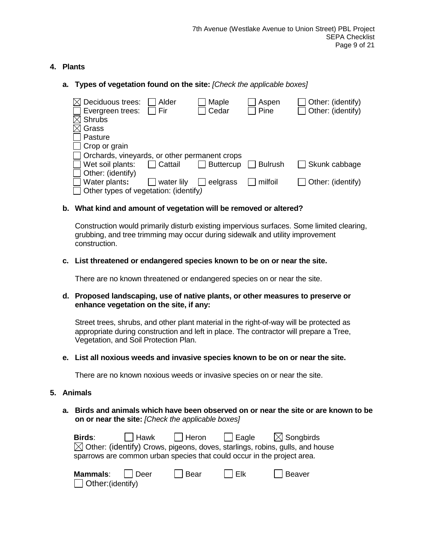# **4. Plants**

**a. Types of vegetation found on the site:** *[Check the applicable boxes]*

| $\boxtimes$ Deciduous trees:                  | Alder      | Maple            | Aspen          | Other: (identify) |
|-----------------------------------------------|------------|------------------|----------------|-------------------|
| $\Box$ Evergreen trees:                       | Fir        | Cedar            | Pine           | Other: (identify) |
| $\boxtimes$ Shrubs                            |            |                  |                |                   |
| $\boxtimes$ Grass                             |            |                  |                |                   |
| $\Box$ Pasture                                |            |                  |                |                   |
| $\Box$ Crop or grain                          |            |                  |                |                   |
| Orchards, vineyards, or other permanent crops |            |                  |                |                   |
| $\Box$ Wet soil plants:                       | Cattail    | <b>Buttercup</b> | <b>Bulrush</b> | Skunk cabbage     |
| $\Box$ Other: (identify)                      |            |                  |                |                   |
| Water plants:                                 | water lily | eelgrass         | milfoil        | Other: (identify) |
| $\Box$ Other types of vegetation: (identify)  |            |                  |                |                   |

# **b. What kind and amount of vegetation will be removed or altered?**

Construction would primarily disturb existing impervious surfaces. Some limited clearing, grubbing, and tree trimming may occur during sidewalk and utility improvement construction.

# **c. List threatened or endangered species known to be on or near the site.**

There are no known threatened or endangered species on or near the site.

#### **d. Proposed landscaping, use of native plants, or other measures to preserve or enhance vegetation on the site, if any:**

Street trees, shrubs, and other plant material in the right-of-way will be protected as appropriate during construction and left in place. The contractor will prepare a Tree, Vegetation, and Soil Protection Plan.

#### **e. List all noxious weeds and invasive species known to be on or near the site.**

There are no known noxious weeds or invasive species on or near the site.

#### **5. Animals**

| Other:(identify)

## **a. Birds and animals which have been observed on or near the site or are known to be on or near the site:** *[Check the applicable boxes]*

| <b>Birds:</b>   |        |      |         | $\Box$ Hawk $\Box$ Heron $\Box$ Eagle $\boxtimes$ Songbirds<br>$\boxtimes$ Other: (identify) Crows, pigeons, doves, starlings, robins, gulls, and house<br>sparrows are common urban species that could occur in the project area. |  |
|-----------------|--------|------|---------|------------------------------------------------------------------------------------------------------------------------------------------------------------------------------------------------------------------------------------|--|
| <b>Mammals:</b> | l Deer | Bear | $ $ Elk | $\Box$ Beaver                                                                                                                                                                                                                      |  |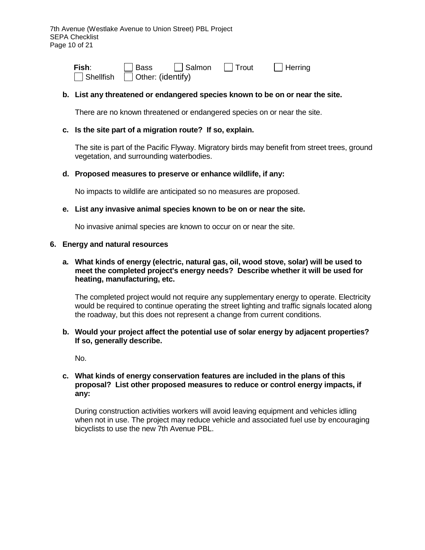| Fish:            | Bass                      | $\Box$ Salmon | $\Box$ Trout | $\Box$ Herring |
|------------------|---------------------------|---------------|--------------|----------------|
| $\Box$ Shellfish | $\vert$ Other: (identify) |               |              |                |

## **b. List any threatened or endangered species known to be on or near the site.**

There are no known threatened or endangered species on or near the site.

#### **c. Is the site part of a migration route? If so, explain.**

The site is part of the Pacific Flyway. Migratory birds may benefit from street trees, ground vegetation, and surrounding waterbodies.

#### **d. Proposed measures to preserve or enhance wildlife, if any:**

No impacts to wildlife are anticipated so no measures are proposed.

#### **e. List any invasive animal species known to be on or near the site.**

No invasive animal species are known to occur on or near the site.

#### **6. Energy and natural resources**

#### **a. What kinds of energy (electric, natural gas, oil, wood stove, solar) will be used to meet the completed project's energy needs? Describe whether it will be used for heating, manufacturing, etc.**

The completed project would not require any supplementary energy to operate. Electricity would be required to continue operating the street lighting and traffic signals located along the roadway, but this does not represent a change from current conditions.

## **b. Would your project affect the potential use of solar energy by adjacent properties? If so, generally describe.**

No.

#### **c. What kinds of energy conservation features are included in the plans of this proposal? List other proposed measures to reduce or control energy impacts, if any:**

During construction activities workers will avoid leaving equipment and vehicles idling when not in use. The project may reduce vehicle and associated fuel use by encouraging bicyclists to use the new 7th Avenue PBL.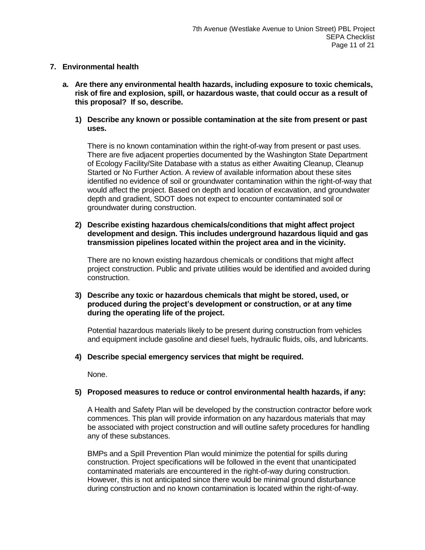# **7. Environmental health**

- **a. Are there any environmental health hazards, including exposure to toxic chemicals, risk of fire and explosion, spill, or hazardous waste, that could occur as a result of this proposal? If so, describe.**
	- **1) Describe any known or possible contamination at the site from present or past uses.**

There is no known contamination within the right-of-way from present or past uses. There are five adjacent properties documented by the Washington State Department of Ecology Facility/Site Database with a status as either Awaiting Cleanup, Cleanup Started or No Further Action. A review of available information about these sites identified no evidence of soil or groundwater contamination within the right-of-way that would affect the project. Based on depth and location of excavation, and groundwater depth and gradient, SDOT does not expect to encounter contaminated soil or groundwater during construction.

**2) Describe existing hazardous chemicals/conditions that might affect project development and design. This includes underground hazardous liquid and gas transmission pipelines located within the project area and in the vicinity.**

There are no known existing hazardous chemicals or conditions that might affect project construction. Public and private utilities would be identified and avoided during construction.

**3) Describe any toxic or hazardous chemicals that might be stored, used, or produced during the project's development or construction, or at any time during the operating life of the project.**

Potential hazardous materials likely to be present during construction from vehicles and equipment include gasoline and diesel fuels, hydraulic fluids, oils, and lubricants.

**4) Describe special emergency services that might be required.**

None.

# **5) Proposed measures to reduce or control environmental health hazards, if any:**

A Health and Safety Plan will be developed by the construction contractor before work commences. This plan will provide information on any hazardous materials that may be associated with project construction and will outline safety procedures for handling any of these substances.

BMPs and a Spill Prevention Plan would minimize the potential for spills during construction. Project specifications will be followed in the event that unanticipated contaminated materials are encountered in the right-of-way during construction. However, this is not anticipated since there would be minimal ground disturbance during construction and no known contamination is located within the right-of-way.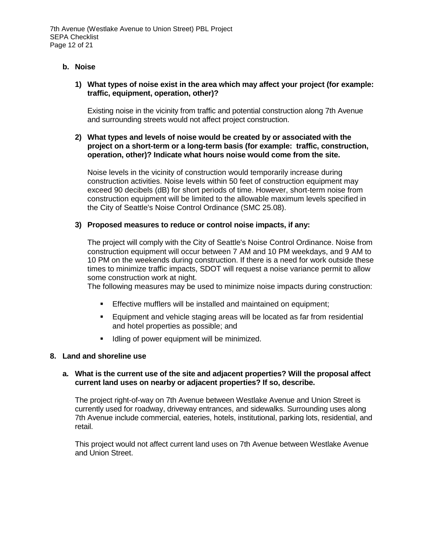## **b. Noise**

## **1) What types of noise exist in the area which may affect your project (for example: traffic, equipment, operation, other)?**

Existing noise in the vicinity from traffic and potential construction along 7th Avenue and surrounding streets would not affect project construction.

## **2) What types and levels of noise would be created by or associated with the project on a short-term or a long-term basis (for example: traffic, construction, operation, other)? Indicate what hours noise would come from the site.**

Noise levels in the vicinity of construction would temporarily increase during construction activities. Noise levels within 50 feet of construction equipment may exceed 90 decibels (dB) for short periods of time. However, short-term noise from construction equipment will be limited to the allowable maximum levels specified in the City of Seattle's Noise Control Ordinance (SMC 25.08).

## **3) Proposed measures to reduce or control noise impacts, if any:**

The project will comply with the City of Seattle's Noise Control Ordinance. Noise from construction equipment will occur between 7 AM and 10 PM weekdays, and 9 AM to 10 PM on the weekends during construction. If there is a need for work outside these times to minimize traffic impacts, SDOT will request a noise variance permit to allow some construction work at night.

The following measures may be used to minimize noise impacts during construction:

- Effective mufflers will be installed and maintained on equipment;
- **Equipment and vehicle staging areas will be located as far from residential** and hotel properties as possible; and
- Idling of power equipment will be minimized.

#### **8. Land and shoreline use**

## **a. What is the current use of the site and adjacent properties? Will the proposal affect current land uses on nearby or adjacent properties? If so, describe.**

The project right-of-way on 7th Avenue between Westlake Avenue and Union Street is currently used for roadway, driveway entrances, and sidewalks. Surrounding uses along 7th Avenue include commercial, eateries, hotels, institutional, parking lots, residential, and retail.

This project would not affect current land uses on 7th Avenue between Westlake Avenue and Union Street.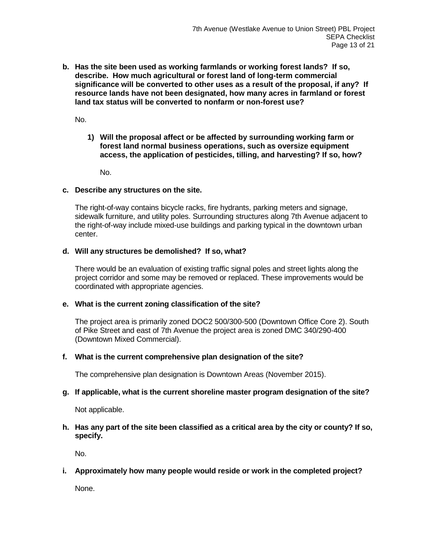**b. Has the site been used as working farmlands or working forest lands? If so, describe. How much agricultural or forest land of long-term commercial significance will be converted to other uses as a result of the proposal, if any? If resource lands have not been designated, how many acres in farmland or forest land tax status will be converted to nonfarm or non-forest use?**

No.

**1) Will the proposal affect or be affected by surrounding working farm or forest land normal business operations, such as oversize equipment access, the application of pesticides, tilling, and harvesting? If so, how?**

No.

#### **c. Describe any structures on the site.**

The right-of-way contains bicycle racks, fire hydrants, parking meters and signage, sidewalk furniture, and utility poles. Surrounding structures along 7th Avenue adjacent to the right-of-way include mixed-use buildings and parking typical in the downtown urban center.

#### **d. Will any structures be demolished? If so, what?**

There would be an evaluation of existing traffic signal poles and street lights along the project corridor and some may be removed or replaced. These improvements would be coordinated with appropriate agencies.

#### **e. What is the current zoning classification of the site?**

The project area is primarily zoned DOC2 500/300-500 (Downtown Office Core 2). South of Pike Street and east of 7th Avenue the project area is zoned DMC 340/290-400 (Downtown Mixed Commercial).

#### **f. What is the current comprehensive plan designation of the site?**

The comprehensive plan designation is Downtown Areas (November 2015).

#### **g. If applicable, what is the current shoreline master program designation of the site?**

Not applicable.

## **h. Has any part of the site been classified as a critical area by the city or county? If so, specify.**

No.

# **i. Approximately how many people would reside or work in the completed project?**

None.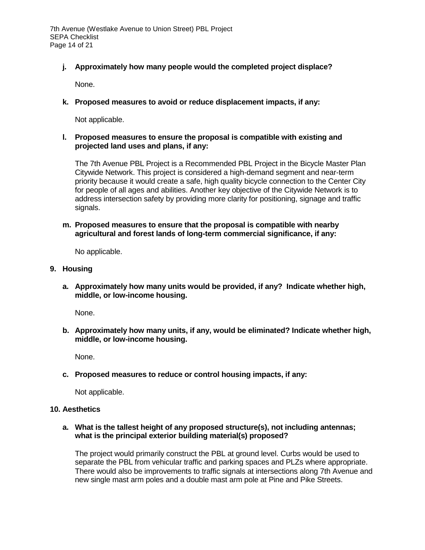# **j. Approximately how many people would the completed project displace?**

None.

# **k. Proposed measures to avoid or reduce displacement impacts, if any:**

Not applicable.

#### **l. Proposed measures to ensure the proposal is compatible with existing and projected land uses and plans, if any:**

The 7th Avenue PBL Project is a Recommended PBL Project in the Bicycle Master Plan Citywide Network. This project is considered a high-demand segment and near-term priority because it would create a safe, high quality bicycle connection to the Center City for people of all ages and abilities. Another key objective of the Citywide Network is to address intersection safety by providing more clarity for positioning, signage and traffic signals.

## **m. Proposed measures to ensure that the proposal is compatible with nearby agricultural and forest lands of long-term commercial significance, if any:**

No applicable.

## **9. Housing**

**a. Approximately how many units would be provided, if any? Indicate whether high, middle, or low-income housing.**

None.

**b. Approximately how many units, if any, would be eliminated? Indicate whether high, middle, or low-income housing.**

None.

**c. Proposed measures to reduce or control housing impacts, if any:**

Not applicable.

#### **10. Aesthetics**

## **a. What is the tallest height of any proposed structure(s), not including antennas; what is the principal exterior building material(s) proposed?**

The project would primarily construct the PBL at ground level. Curbs would be used to separate the PBL from vehicular traffic and parking spaces and PLZs where appropriate. There would also be improvements to traffic signals at intersections along 7th Avenue and new single mast arm poles and a double mast arm pole at Pine and Pike Streets.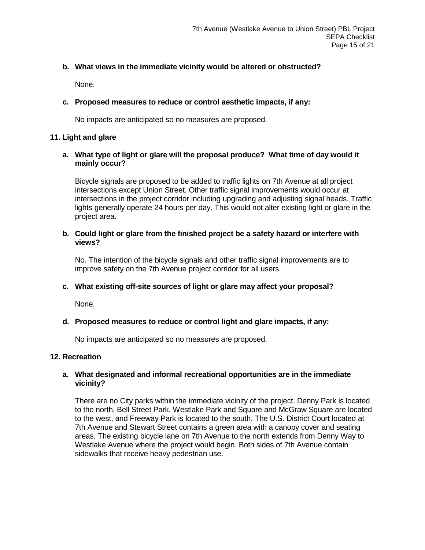# **b. What views in the immediate vicinity would be altered or obstructed?**

None.

# **c. Proposed measures to reduce or control aesthetic impacts, if any:**

No impacts are anticipated so no measures are proposed.

# **11. Light and glare**

# **a. What type of light or glare will the proposal produce? What time of day would it mainly occur?**

Bicycle signals are proposed to be added to traffic lights on 7th Avenue at all project intersections except Union Street. Other traffic signal improvements would occur at intersections in the project corridor including upgrading and adjusting signal heads. Traffic lights generally operate 24 hours per day. This would not alter existing light or glare in the project area.

# **b. Could light or glare from the finished project be a safety hazard or interfere with views?**

No. The intention of the bicycle signals and other traffic signal improvements are to improve safety on the 7th Avenue project corridor for all users.

# **c. What existing off-site sources of light or glare may affect your proposal?**

None.

# **d. Proposed measures to reduce or control light and glare impacts, if any:**

No impacts are anticipated so no measures are proposed.

# **12. Recreation**

# **a. What designated and informal recreational opportunities are in the immediate vicinity?**

There are no City parks within the immediate vicinity of the project. Denny Park is located to the north, Bell Street Park, Westlake Park and Square and McGraw Square are located to the west, and Freeway Park is located to the south. The U.S. District Court located at 7th Avenue and Stewart Street contains a green area with a canopy cover and seating areas. The existing bicycle lane on 7th Avenue to the north extends from Denny Way to Westlake Avenue where the project would begin. Both sides of 7th Avenue contain sidewalks that receive heavy pedestrian use.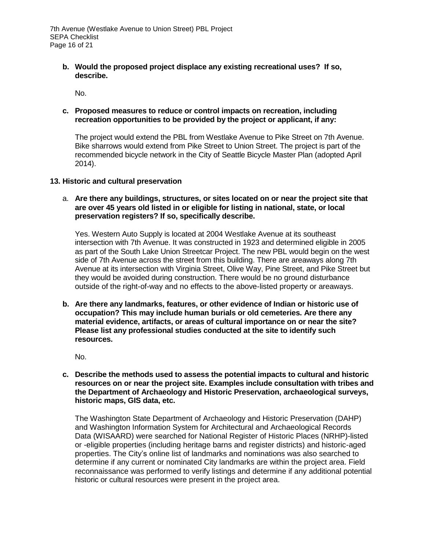**b. Would the proposed project displace any existing recreational uses? If so, describe.**

No.

# **c. Proposed measures to reduce or control impacts on recreation, including recreation opportunities to be provided by the project or applicant, if any:**

The project would extend the PBL from Westlake Avenue to Pike Street on 7th Avenue. Bike sharrows would extend from Pike Street to Union Street. The project is part of the recommended bicycle network in the City of Seattle Bicycle Master Plan (adopted April 2014).

## **13. Historic and cultural preservation**

## a. **Are there any buildings, structures, or sites located on or near the project site that are over 45 years old listed in or eligible for listing in national, state, or local preservation registers? If so, specifically describe.**

Yes. Western Auto Supply is located at 2004 Westlake Avenue at its southeast intersection with 7th Avenue. It was constructed in 1923 and determined eligible in 2005 as part of the South Lake Union Streetcar Project. The new PBL would begin on the west side of 7th Avenue across the street from this building. There are areaways along 7th Avenue at its intersection with Virginia Street, Olive Way, Pine Street, and Pike Street but they would be avoided during construction. There would be no ground disturbance outside of the right-of-way and no effects to the above-listed property or areaways.

**b. Are there any landmarks, features, or other evidence of Indian or historic use of occupation? This may include human burials or old cemeteries. Are there any material evidence, artifacts, or areas of cultural importance on or near the site? Please list any professional studies conducted at the site to identify such resources.**

No.

**c. Describe the methods used to assess the potential impacts to cultural and historic resources on or near the project site. Examples include consultation with tribes and the Department of Archaeology and Historic Preservation, archaeological surveys, historic maps, GIS data, etc.**

The [Washington State Department of Archaeology and](http://www.dahp.wa.gov/) Historic Preservation (DAHP) and Washington Information System for Architectural and Archaeological Records Data (WISAARD) were searched for National Register of Historic Places (NRHP)-listed or -eligible properties (including heritage barns and register districts) and historic-aged properties. The City's online list of landmarks and nominations was also searched to determine if any current or nominated City landmarks are within the project area. Field reconnaissance was performed to verify listings and determine if any additional potential historic or cultural resources were present in the project area.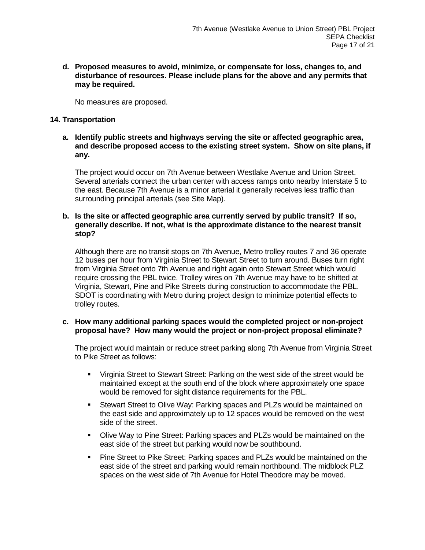**d. Proposed measures to avoid, minimize, or compensate for loss, changes to, and disturbance of resources. Please include plans for the above and any permits that may be required.**

No measures are proposed.

# **14. Transportation**

**a. Identify public streets and highways serving the site or affected geographic area, and describe proposed access to the existing street system. Show on site plans, if any.**

The project would occur on 7th Avenue between Westlake Avenue and Union Street. Several arterials connect the urban center with access ramps onto nearby Interstate 5 to the east. Because 7th Avenue is a minor arterial it generally receives less traffic than surrounding principal arterials (see Site Map).

#### **b. Is the site or affected geographic area currently served by public transit? If so, generally describe. If not, what is the approximate distance to the nearest transit stop?**

Although there are no transit stops on 7th Avenue, Metro trolley routes 7 and 36 operate 12 buses per hour from Virginia Street to Stewart Street to turn around. Buses turn right from Virginia Street onto 7th Avenue and right again onto Stewart Street which would require crossing the PBL twice. Trolley wires on 7th Avenue may have to be shifted at Virginia, Stewart, Pine and Pike Streets during construction to accommodate the PBL. SDOT is coordinating with Metro during project design to minimize potential effects to trolley routes.

## **c. How many additional parking spaces would the completed project or non-project proposal have? How many would the project or non-project proposal eliminate?**

The project would maintain or reduce street parking along 7th Avenue from Virginia Street to Pike Street as follows:

- Virginia Street to Stewart Street: Parking on the west side of the street would be maintained except at the south end of the block where approximately one space would be removed for sight distance requirements for the PBL.
- Stewart Street to Olive Way: Parking spaces and PLZs would be maintained on the east side and approximately up to 12 spaces would be removed on the west side of the street.
- **Dlive Way to Pine Street: Parking spaces and PLZs would be maintained on the** east side of the street but parking would now be southbound.
- **Pine Street to Pike Street: Parking spaces and PLZs would be maintained on the** east side of the street and parking would remain northbound. The midblock PLZ spaces on the west side of 7th Avenue for Hotel Theodore may be moved.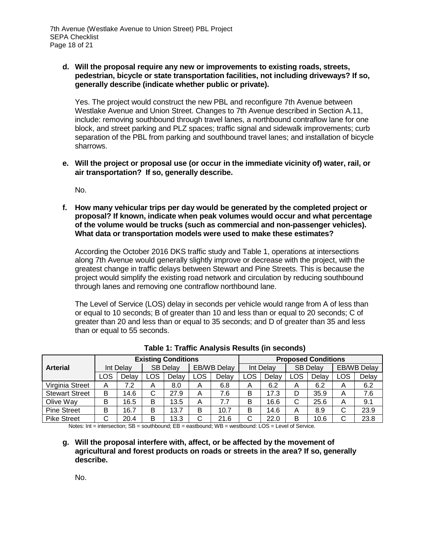## **d. Will the proposal require any new or improvements to existing roads, streets, pedestrian, bicycle or state transportation facilities, not including driveways? If so, generally describe (indicate whether public or private).**

Yes. The project would construct the new PBL and reconfigure 7th Avenue between Westlake Avenue and Union Street. Changes to 7th Avenue described in Section A.11, include: removing southbound through travel lanes, a northbound contraflow lane for one block, and street parking and PLZ spaces; traffic signal and sidewalk improvements; curb separation of the PBL from parking and southbound travel lanes; and installation of bicycle sharrows.

**e. Will the project or proposal use (or occur in the immediate vicinity of) water, rail, or air transportation? If so, generally describe.**

No.

**f. How many vehicular trips per day would be generated by the completed project or proposal? If known, indicate when peak volumes would occur and what percentage of the volume would be trucks (such as commercial and non-passenger vehicles). What data or transportation models were used to make these estimates?**

According the October 2016 DKS traffic study and Table 1, operations at intersections along 7th Avenue would generally slightly improve or decrease with the project, with the greatest change in traffic delays between Stewart and Pine Streets. This is because the project would simplify the existing road network and circulation by reducing southbound through lanes and removing one contraflow northbound lane.

The Level of Service (LOS) delay in seconds per vehicle would range from A of less than or equal to 10 seconds; B of greater than 10 and less than or equal to 20 seconds; C of greater than 20 and less than or equal to 35 seconds; and D of greater than 35 and less than or equal to 55 seconds.

|                       | <b>Existing Conditions</b> |       |                 |       |                    | <b>Proposed Conditions</b> |           |       |                 |       |                    |       |
|-----------------------|----------------------------|-------|-----------------|-------|--------------------|----------------------------|-----------|-------|-----------------|-------|--------------------|-------|
| <b>Arterial</b>       | Int Delay                  |       | <b>SB Delay</b> |       | <b>EB/WB Delay</b> |                            | Int Delay |       | <b>SB Delay</b> |       | <b>EB/WB Delay</b> |       |
|                       | LOS                        | Delay | LOS             | Delay | <b>LOS</b>         | Delav                      | LOS       | Delay | LOS.            | Delav | LOS                | Delay |
| Virginia Street       | А                          | 7.2   | A               | 8.0   | A                  | 6.8                        | A         | 6.2   | A               | 6.2   | A                  | 6.2   |
| <b>Stewart Street</b> | в                          | 14.6  | C               | 27.9  | A                  | 7.6                        | B         | 17.3  | D               | 35.9  | A                  | 7.6   |
| Olive Way             | B                          | 16.5  | B               | 13.5  | A                  | 7.7                        | B         | 16.6  | С               | 25.6  | A                  | 9.1   |
| <b>Pine Street</b>    | B                          | 16.7  | B               | 13.7  | B                  | 10.7                       | B         | 14.6  | Α               | 8.9   | С                  | 23.9  |
| <b>Pike Street</b>    | С                          | 20.4  | B               | 13.3  | C                  | 21.6                       | С         | 22.0  | в               | 10.6  | С                  | 23.8  |

**Table 1: Traffic Analysis Results (in seconds)**

Notes: Int = intersection; SB = southbound; EB = eastbound; WB = westbound: LOS = Level of Service.

**g. Will the proposal interfere with, affect, or be affected by the movement of agricultural and forest products on roads or streets in the area? If so, generally describe.**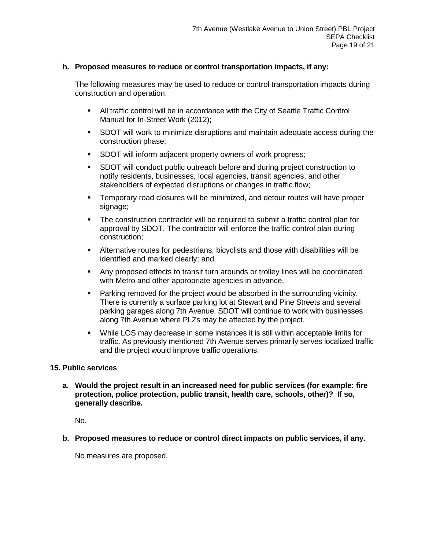## **h. Proposed measures to reduce or control transportation impacts, if any:**

The following measures may be used to reduce or control transportation impacts during construction and operation:

- All traffic control will be in accordance with the City of Seattle Traffic Control Manual for In-Street Work (2012);
- SDOT will work to minimize disruptions and maintain adequate access during the construction phase;
- **SDOT will inform adjacent property owners of work progress;**
- SDOT will conduct public outreach before and during project construction to notify residents, businesses, local agencies, transit agencies, and other stakeholders of expected disruptions or changes in traffic flow;
- Temporary road closures will be minimized, and detour routes will have proper signage;
- The construction contractor will be required to submit a traffic control plan for approval by SDOT. The contractor will enforce the traffic control plan during construction;
- Alternative routes for pedestrians, bicyclists and those with disabilities will be identified and marked clearly; and
- Any proposed effects to transit turn arounds or trolley lines will be coordinated with Metro and other appropriate agencies in advance.
- **Parking removed for the project would be absorbed in the surrounding vicinity.** There is currently a surface parking lot at Stewart and Pine Streets and several parking garages along 7th Avenue. SDOT will continue to work with businesses along 7th Avenue where PLZs may be affected by the project.
- While LOS may decrease in some instances it is still within acceptable limits for traffic. As previously mentioned 7th Avenue serves primarily serves localized traffic and the project would improve traffic operations.

# **15. Public services**

**a. Would the project result in an increased need for public services (for example: fire protection, police protection, public transit, health care, schools, other)? If so, generally describe.**

No.

**b. Proposed measures to reduce or control direct impacts on public services, if any.**

No measures are proposed.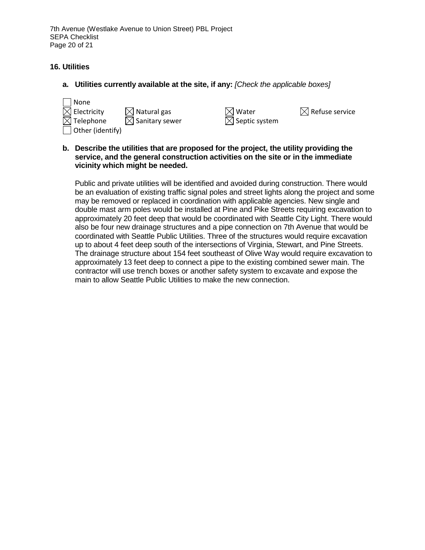# **16. Utilities**

**a. Utilities currently available at the site, if any:** *[Check the applicable boxes]*

| None                    |                            |                |
|-------------------------|----------------------------|----------------|
| $\boxtimes$ Electricity | $\boxtimes$ Natural gas    | $\boxtimes$ w  |
| $\boxtimes$ Telephone   | $\boxtimes$ Sanitary sewer | $\boxtimes$ Se |
| $\Box$ Other (identify) |                            |                |

ptic system

'ater  $\boxtimes$  Refuse service

**b. Describe the utilities that are proposed for the project, the utility providing the service, and the general construction activities on the site or in the immediate vicinity which might be needed.**

Public and private utilities will be identified and avoided during construction. There would be an evaluation of existing traffic signal poles and street lights along the project and some may be removed or replaced in coordination with applicable agencies. New single and double mast arm poles would be installed at Pine and Pike Streets requiring excavation to approximately 20 feet deep that would be coordinated with Seattle City Light. There would also be four new drainage structures and a pipe connection on 7th Avenue that would be coordinated with Seattle Public Utilities. Three of the structures would require excavation up to about 4 feet deep south of the intersections of Virginia, Stewart, and Pine Streets. The drainage structure about 154 feet southeast of Olive Way would require excavation to approximately 13 feet deep to connect a pipe to the existing combined sewer main. The contractor will use trench boxes or another safety system to excavate and expose the main to allow Seattle Public Utilities to make the new connection.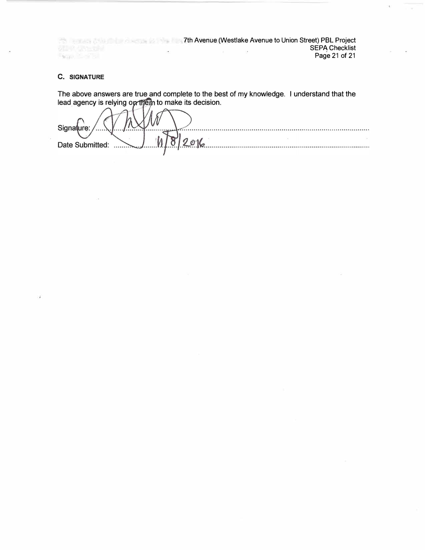7th Avenue (Westlake Avenue to Union Street) PBL Project SEPA Checklist ù. **Barry Control** Page 21 of 21

## **C. SIGNATURE**

The above answers are true and complete to the best of my knowledge. I understand that the lead agency is relying op them to make its decision.

/ Signature:  $2016$ Date Submitted: .....